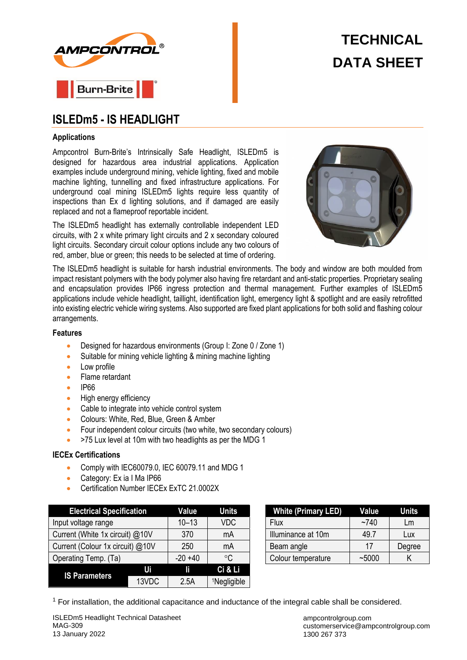



# **ISLEDm5 - IS HEADLIGHT**

#### **Applications**

Ampcontrol Burn-Brite's Intrinsically Safe Headlight, ISLEDm5 is designed for hazardous area industrial applications. Application examples include underground mining, vehicle lighting, fixed and mobile machine lighting, tunnelling and fixed infrastructure applications. For underground coal mining ISLEDm5 lights require less quantity of inspections than Ex d lighting solutions, and if damaged are easily replaced and not a flameproof reportable incident.

The ISLEDm5 headlight has externally controllable independent LED circuits, with 2 x white primary light circuits and 2 x secondary coloured light circuits. Secondary circuit colour options include any two colours of red, amber, blue or green; this needs to be selected at time of ordering.



The ISLEDm5 headlight is suitable for harsh industrial environments. The body and window are both moulded from impact resistant polymers with the body polymer also having fire retardant and anti-static properties. Proprietary sealing and encapsulation provides IP66 ingress protection and thermal management. Further examples of ISLEDm5 applications include vehicle headlight, taillight, identification light, emergency light & spotlight and are easily retrofitted into existing electric vehicle wiring systems. Also supported are fixed plant applications for both solid and flashing colour arrangements.

#### **Features**

- Designed for hazardous environments (Group I: Zone 0 / Zone 1)
- Suitable for mining vehicle lighting & mining machine lighting
- Low profile
- Flame retardant
- IP66
- High energy efficiency
- Cable to integrate into vehicle control system
- Colours: White, Red, Blue, Green & Amber
- Four independent colour circuits (two white, two secondary colours)
- >75 Lux level at 10m with two headlights as per the MDG 1

# **IECEx Certifications**

- Comply with IEC60079.0, IEC 60079.11 and MDG 1
- Category: Ex ia I Ma IP66
- Certification Number IECEx ExTC 21.0002X

| <b>Electrical Specification</b>  |       | Value      | <b>Units</b>            |                    | <b>White (Primary LED)</b> | Value     |
|----------------------------------|-------|------------|-------------------------|--------------------|----------------------------|-----------|
| Input voltage range              |       | $10 - 13$  | <b>VDC</b>              | Flux               |                            | $~1$ –740 |
| Current (White 1x circuit) @10V  |       | 370        | mA                      | Illuminance at 10m |                            | 49.7      |
| Current (Colour 1x circuit) @10V |       | 250        | mA                      |                    | Beam angle                 | 17        |
| Operating Temp. (Ta)             |       | $-20 + 40$ | $^{\circ}C$             | Colour temperature |                            | ~1000     |
| <b>IS Parameters</b>             | Ui    | ľf         | Ci & Li                 |                    |                            |           |
|                                  | 13VDC | 2.5A       | <sup>1</sup> Negligible |                    |                            |           |

| <b>White (Primary LED)</b> | Value     | Units  |  |
|----------------------------|-----------|--------|--|
| <b>Flux</b>                | $~1$ $~1$ | Lm     |  |
| Illuminance at 10m         | 49.7      | Lux    |  |
| Beam angle                 | 17        | Degree |  |
| Colour temperature         | ~1000     |        |  |

 $1$  For installation, the additional capacitance and inductance of the integral cable shall be considered.

ISLEDm5 Headlight Technical Datasheet MAG-309 13 January 2022

ampcontrolgroup.com customerservice@ampcontrolgroup.com 1300 267 373